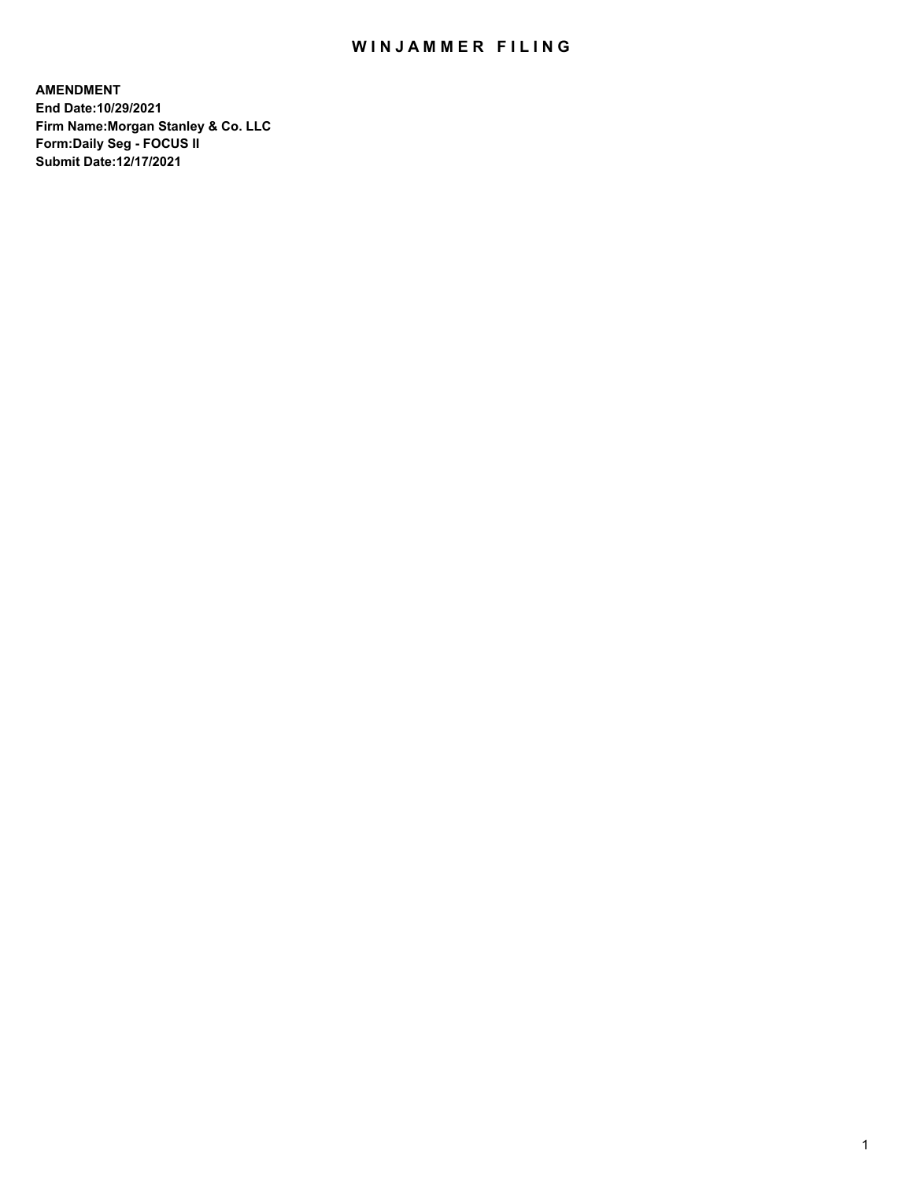## WIN JAMMER FILING

**AMENDMENT End Date:10/29/2021 Firm Name:Morgan Stanley & Co. LLC Form:Daily Seg - FOCUS II Submit Date:12/17/2021**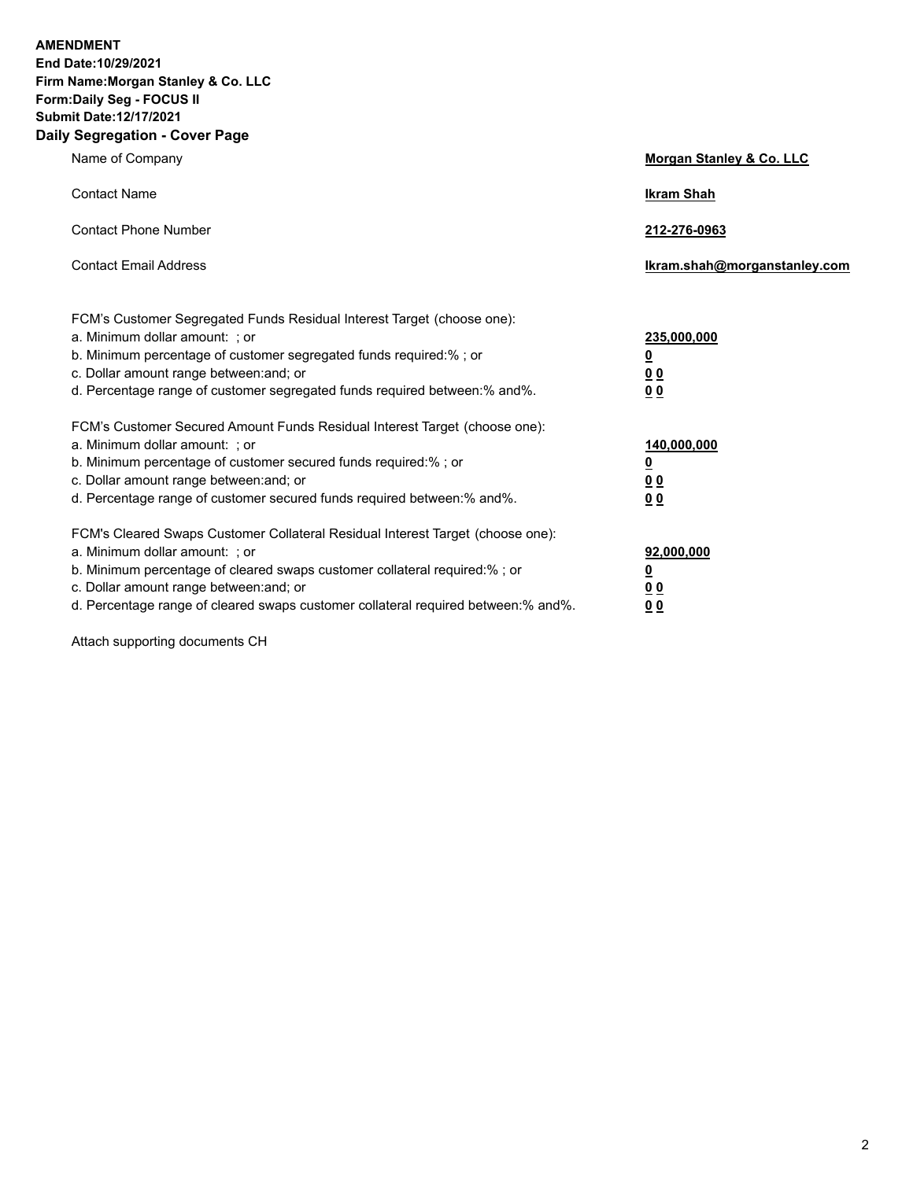**AMENDMENT End Date:10/29/2021 Firm Name:Morgan Stanley & Co. LLC Form:Daily Seg - FOCUS II Submit Date:12/17/2021 Daily Segregation - Cover Page**

| Name of Company                                                                                                                                                                                                                                                                                                                | Morgan Stanley & Co. LLC                                    |
|--------------------------------------------------------------------------------------------------------------------------------------------------------------------------------------------------------------------------------------------------------------------------------------------------------------------------------|-------------------------------------------------------------|
| <b>Contact Name</b>                                                                                                                                                                                                                                                                                                            | <b>Ikram Shah</b>                                           |
| <b>Contact Phone Number</b>                                                                                                                                                                                                                                                                                                    | 212-276-0963                                                |
| <b>Contact Email Address</b>                                                                                                                                                                                                                                                                                                   | Ikram.shah@morganstanley.com                                |
| FCM's Customer Segregated Funds Residual Interest Target (choose one):<br>a. Minimum dollar amount: ; or<br>b. Minimum percentage of customer segregated funds required:% ; or<br>c. Dollar amount range between: and; or<br>d. Percentage range of customer segregated funds required between:% and%.                         | 235,000,000<br><u>0</u><br><u>00</u><br>00                  |
| FCM's Customer Secured Amount Funds Residual Interest Target (choose one):<br>a. Minimum dollar amount: ; or<br>b. Minimum percentage of customer secured funds required:%; or<br>c. Dollar amount range between: and; or<br>d. Percentage range of customer secured funds required between: % and %.                          | 140,000,000<br><u>0</u><br>0 <sub>0</sub><br>0 <sub>0</sub> |
| FCM's Cleared Swaps Customer Collateral Residual Interest Target (choose one):<br>a. Minimum dollar amount: ; or<br>b. Minimum percentage of cleared swaps customer collateral required:% ; or<br>c. Dollar amount range between: and; or<br>d. Percentage range of cleared swaps customer collateral required between:% and%. | 92,000,000<br><u>0</u><br><u>0 0</u><br>00                  |

Attach supporting documents CH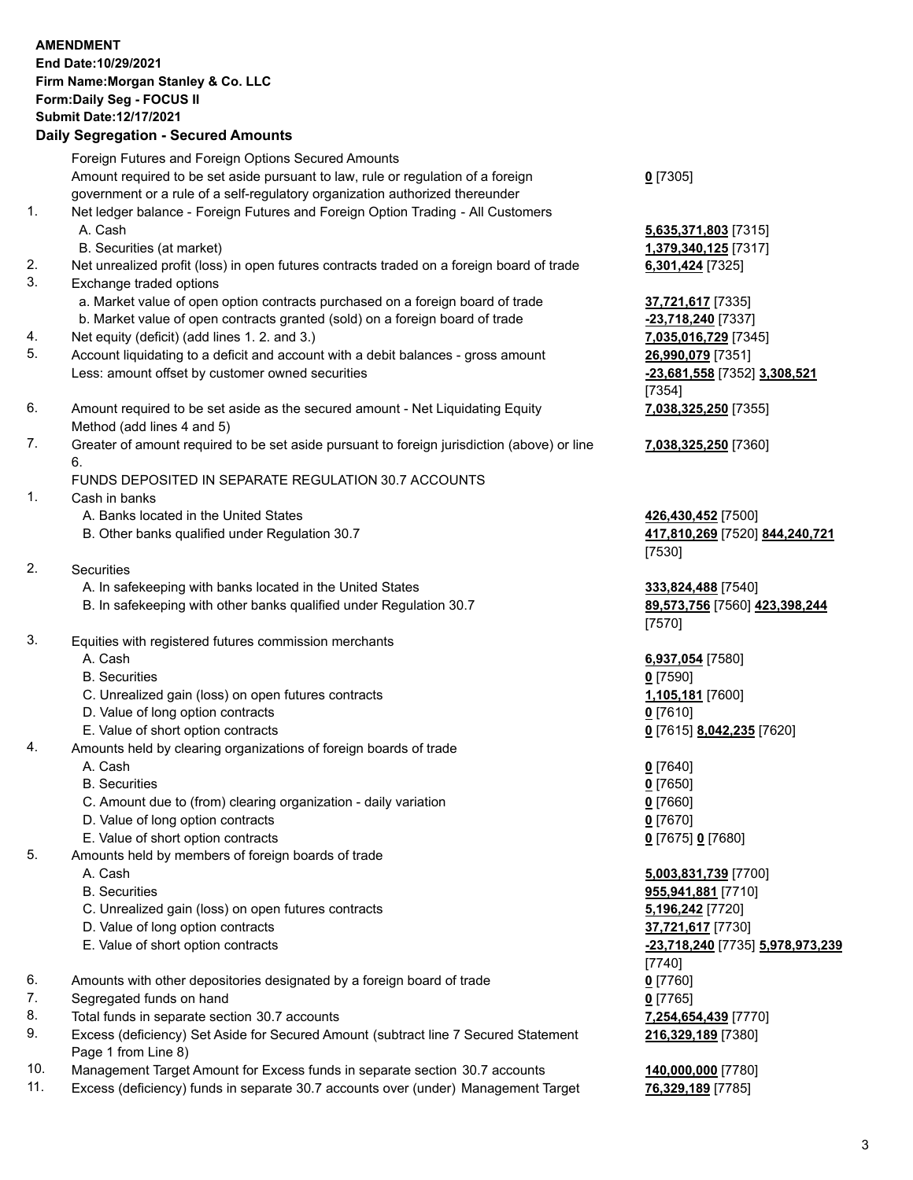#### **AMENDMENT End Date:10/29/2021 Firm Name:Morgan Stanley & Co. LLC Form:Daily Seg - FOCUS II Submit Date:12/17/2021 Daily Segregation - Secured Amounts** Foreign Futures and Foreign Options Secured Amounts Amount required to be set aside pursuant to law, rule or regulation of a foreign government or a rule of a self-regulatory organization authorized thereunder **0** [7305] 1. Net ledger balance - Foreign Futures and Foreign Option Trading - All Customers A. Cash **5,635,371,803** [7315] B. Securities (at market) **1,379,340,125** [7317] 2. Net unrealized profit (loss) in open futures contracts traded on a foreign board of trade **6,301,424** [7325] 3. Exchange traded options a. Market value of open option contracts purchased on a foreign board of trade **37,721,617** [7335] b. Market value of open contracts granted (sold) on a foreign board of trade **-23,718,240** [7337] 4. Net equity (deficit) (add lines 1. 2. and 3.) **7,035,016,729** [7345] 5. Account liquidating to a deficit and account with a debit balances - gross amount **26,990,079** [7351] Less: amount offset by customer owned securities **-23,681,558** [7352] **3,308,521** [7354] 6. Amount required to be set aside as the secured amount - Net Liquidating Equity Method (add lines 4 and 5) **7,038,325,250** [7355] 7. Greater of amount required to be set aside pursuant to foreign jurisdiction (above) or line 6. **7,038,325,250** [7360] FUNDS DEPOSITED IN SEPARATE REGULATION 30.7 ACCOUNTS 1. Cash in banks A. Banks located in the United States **426,430,452** [7500] B. Other banks qualified under Regulation 30.7 **417,810,269** [7520] **844,240,721** [7530] 2. Securities A. In safekeeping with banks located in the United States **333,824,488** [7540] B. In safekeeping with other banks qualified under Regulation 30.7 **89,573,756** [7560] **423,398,244** [7570] 3. Equities with registered futures commission merchants A. Cash **6,937,054** [7580] B. Securities **0** [7590] C. Unrealized gain (loss) on open futures contracts **1,105,181** [7600] D. Value of long option contracts **0** [7610] E. Value of short option contracts **0** [7615] **8,042,235** [7620] 4. Amounts held by clearing organizations of foreign boards of trade A. Cash **0** [7640] B. Securities **0** [7650] C. Amount due to (from) clearing organization - daily variation **0** [7660] D. Value of long option contracts **0** [7670] E. Value of short option contracts **0** [7675] **0** [7680] 5. Amounts held by members of foreign boards of trade A. Cash **5,003,831,739** [7700] B. Securities **955,941,881** [7710] C. Unrealized gain (loss) on open futures contracts **5,196,242** [7720] D. Value of long option contracts **37,721,617** [7730] E. Value of short option contracts **-23,718,240** [7735] **5,978,973,239** [7740] 6. Amounts with other depositories designated by a foreign board of trade **0** [7760] 7. Segregated funds on hand **0** [7765]

- 8. Total funds in separate section 30.7 accounts **7,254,654,439** [7770]
- 9. Excess (deficiency) Set Aside for Secured Amount (subtract line 7 Secured Statement Page 1 from Line 8)
- 10. Management Target Amount for Excess funds in separate section 30.7 accounts **140,000,000** [7780]
- 11. Excess (deficiency) funds in separate 30.7 accounts over (under) Management Target **76,329,189** [7785]

**216,329,189** [7380]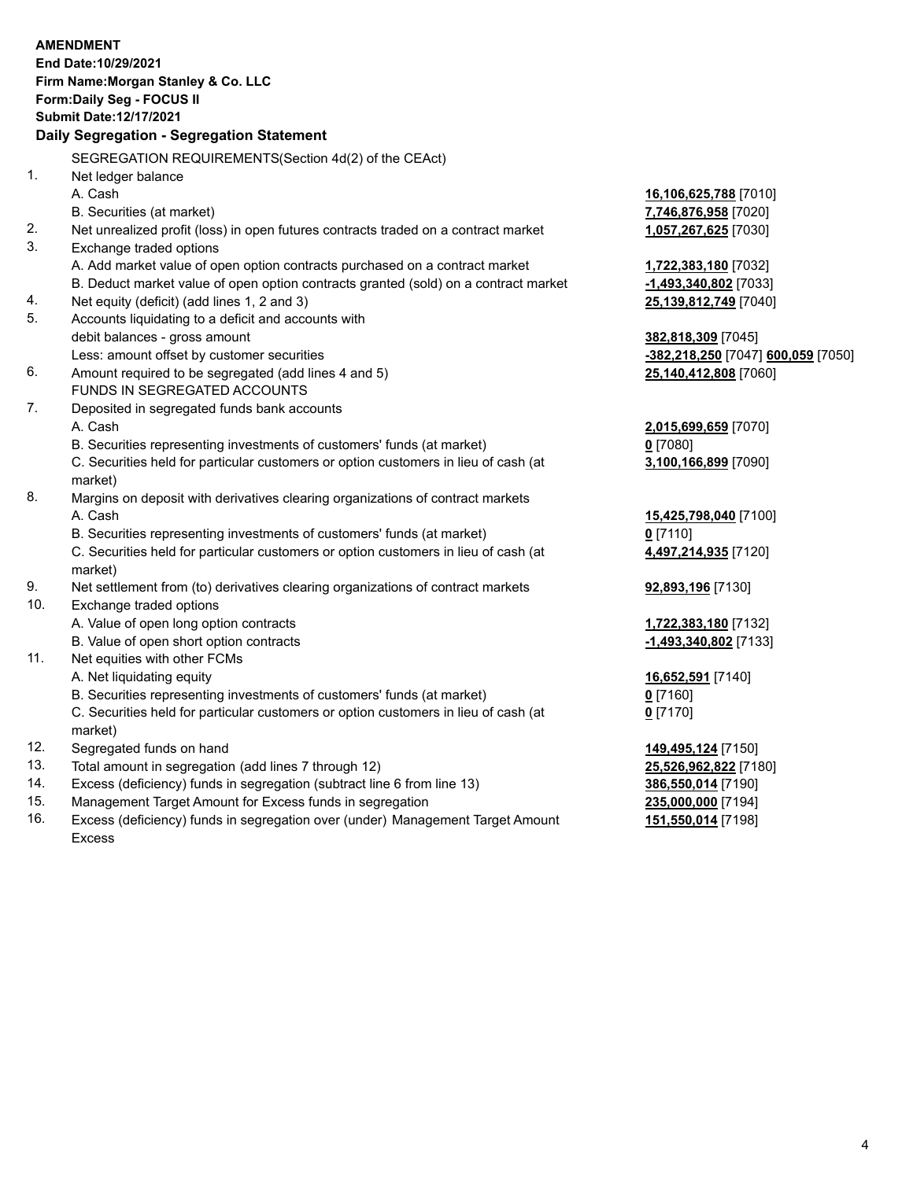#### **AMENDMENT End Date:10/29/2021**

**Firm Name:Morgan Stanley & Co. LLC Form:Daily Seg - FOCUS II Submit Date:12/17/2021**

#### **Daily Segregation - Segregation Statement**

SEGREGATION REQUIREMENTS(Section 4d(2) of the CEAct)

- 1. Net ledger balance
	-
- 2. Net unrealized profit (loss) in open futures contracts traded on a contract market **1,057,267,625** [7030]
- 3. Exchange traded options
	- A. Add market value of open option contracts purchased on a contract market **1,722,383,180** [7032]
	- B. Deduct market value of open option contracts granted (sold) on a contract market **-1,493,340,802** [7033]
- 4. Net equity (deficit) (add lines 1, 2 and 3) **25,139,812,749** [7040]
- 5. Accounts liquidating to a deficit and accounts with debit balances - gross amount **382,818,309** [7045]
- 6. Amount required to be segregated (add lines 4 and 5) **25,140,412,808** [7060]
	- FUNDS IN SEGREGATED ACCOUNTS
- 7. Deposited in segregated funds bank accounts A. Cash **2,015,699,659** [7070]
	- B. Securities representing investments of customers' funds (at market) **0** [7080]

C. Securities held for particular customers or option customers in lieu of cash (at market)

- 8. Margins on deposit with derivatives clearing organizations of contract markets A. Cash **15,425,798,040** [7100]
	- B. Securities representing investments of customers' funds (at market) **0** [7110]

C. Securities held for particular customers or option customers in lieu of cash (at market)

- 9. Net settlement from (to) derivatives clearing organizations of contract markets **92,893,196** [7130]
- 10. Exchange traded options
	- A. Value of open long option contracts **1,722,383,180** [7132]
	- B. Value of open short option contracts **-1,493,340,802** [7133]
- 11. Net equities with other FCMs
	- A. Net liquidating equity **16,652,591** [7140]
	- B. Securities representing investments of customers' funds (at market) **0** [7160]

C. Securities held for particular customers or option customers in lieu of cash (at market)

- 12. Segregated funds on hand **149,495,124** [7150]
- 13. Total amount in segregation (add lines 7 through 12) **25,526,962,822** [7180]
- 14. Excess (deficiency) funds in segregation (subtract line 6 from line 13) **386,550,014** [7190]
- 15. Management Target Amount for Excess funds in segregation **235,000,000** [7194]
- 16. Excess (deficiency) funds in segregation over (under) Management Target Amount Excess

# A. Cash **16,106,625,788** [7010] B. Securities (at market) **7,746,876,958** [7020]

Less: amount offset by customer securities **-382,218,250** [7047] **600,059** [7050]

**3,100,166,899** [7090]

**4,497,214,935** [7120]

**0** [7170]

**151,550,014** [7198]